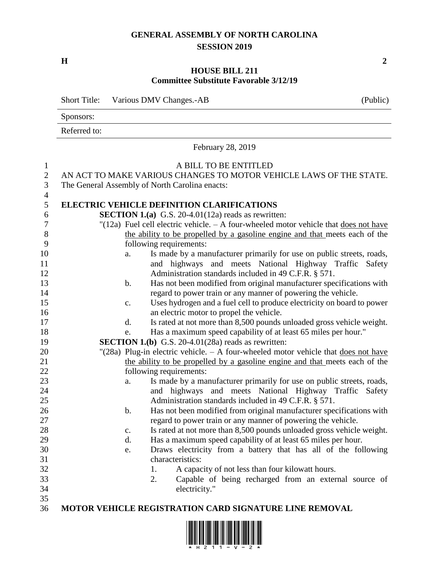## **GENERAL ASSEMBLY OF NORTH CAROLINA SESSION 2019**

**H 2**

## **HOUSE BILL 211 Committee Substitute Favorable 3/12/19**

|                                                                                                                                                   | <b>Short Title:</b><br>Various DMV Changes.-AB<br>(Public)                                                                                                                                                                                                                                                                                                                                                                                                                                                                                                                                                                                                                                                                                                                                                                                                                                                                                                                                                                                                                                                                                                                                                                                                                                                                                                                                                                                                                                                                                                                                                                                                                                                                                                                 |  |  |  |  |  |  |
|---------------------------------------------------------------------------------------------------------------------------------------------------|----------------------------------------------------------------------------------------------------------------------------------------------------------------------------------------------------------------------------------------------------------------------------------------------------------------------------------------------------------------------------------------------------------------------------------------------------------------------------------------------------------------------------------------------------------------------------------------------------------------------------------------------------------------------------------------------------------------------------------------------------------------------------------------------------------------------------------------------------------------------------------------------------------------------------------------------------------------------------------------------------------------------------------------------------------------------------------------------------------------------------------------------------------------------------------------------------------------------------------------------------------------------------------------------------------------------------------------------------------------------------------------------------------------------------------------------------------------------------------------------------------------------------------------------------------------------------------------------------------------------------------------------------------------------------------------------------------------------------------------------------------------------------|--|--|--|--|--|--|
|                                                                                                                                                   | Sponsors:                                                                                                                                                                                                                                                                                                                                                                                                                                                                                                                                                                                                                                                                                                                                                                                                                                                                                                                                                                                                                                                                                                                                                                                                                                                                                                                                                                                                                                                                                                                                                                                                                                                                                                                                                                  |  |  |  |  |  |  |
|                                                                                                                                                   | Referred to:                                                                                                                                                                                                                                                                                                                                                                                                                                                                                                                                                                                                                                                                                                                                                                                                                                                                                                                                                                                                                                                                                                                                                                                                                                                                                                                                                                                                                                                                                                                                                                                                                                                                                                                                                               |  |  |  |  |  |  |
|                                                                                                                                                   | February 28, 2019                                                                                                                                                                                                                                                                                                                                                                                                                                                                                                                                                                                                                                                                                                                                                                                                                                                                                                                                                                                                                                                                                                                                                                                                                                                                                                                                                                                                                                                                                                                                                                                                                                                                                                                                                          |  |  |  |  |  |  |
| $\mathbf{1}$<br>$\sqrt{2}$<br>3<br>4                                                                                                              | A BILL TO BE ENTITLED<br>AN ACT TO MAKE VARIOUS CHANGES TO MOTOR VEHICLE LAWS OF THE STATE.<br>The General Assembly of North Carolina enacts:                                                                                                                                                                                                                                                                                                                                                                                                                                                                                                                                                                                                                                                                                                                                                                                                                                                                                                                                                                                                                                                                                                                                                                                                                                                                                                                                                                                                                                                                                                                                                                                                                              |  |  |  |  |  |  |
| 5<br>6<br>7<br>8<br>9<br>10<br>11<br>12<br>13<br>14<br>15<br>16<br>17<br>18<br>19<br>20<br>21<br>22<br>23<br>24<br>25<br>$26\,$<br>27<br>28<br>29 | <b>ELECTRIC VEHICLE DEFINITION CLARIFICATIONS</b><br><b>SECTION 1.(a)</b> G.S. 20-4.01(12a) reads as rewritten:<br>"(12a) Fuel cell electric vehicle. $- A$ four-wheeled motor vehicle that does not have<br>the ability to be propelled by a gasoline engine and that meets each of the<br>following requirements:<br>Is made by a manufacturer primarily for use on public streets, roads,<br>a.<br>and highways and meets National Highway Traffic Safety<br>Administration standards included in 49 C.F.R. § 571.<br>Has not been modified from original manufacturer specifications with<br>$\mathbf b$ .<br>regard to power train or any manner of powering the vehicle.<br>Uses hydrogen and a fuel cell to produce electricity on board to power<br>$C_{\bullet}$<br>an electric motor to propel the vehicle.<br>Is rated at not more than 8,500 pounds unloaded gross vehicle weight.<br>$\mathbf{d}$ .<br>Has a maximum speed capability of at least 65 miles per hour."<br>e.<br><b>SECTION 1.(b)</b> G.S. 20-4.01(28a) reads as rewritten:<br>"(28a) Plug-in electric vehicle. $- A$ four-wheeled motor vehicle that does not have<br>the ability to be propelled by a gasoline engine and that meets each of the<br>following requirements:<br>Is made by a manufacturer primarily for use on public streets, roads,<br>a.<br>and highways and meets National Highway Traffic Safety<br>Administration standards included in 49 C.F.R. § 571.<br>Has not been modified from original manufacturer specifications with<br>b.<br>regard to power train or any manner of powering the vehicle.<br>Is rated at not more than 8,500 pounds unloaded gross vehicle weight.<br>$\mathbf{c}$ .<br>Has a maximum speed capability of at least 65 miles per hour.<br>d. |  |  |  |  |  |  |
| 30<br>31<br>32<br>33<br>34<br>35                                                                                                                  | Draws electricity from a battery that has all of the following<br>e.<br>characteristics:<br>1.<br>A capacity of not less than four kilowatt hours.<br>Capable of being recharged from an external source of<br>2.<br>electricity."                                                                                                                                                                                                                                                                                                                                                                                                                                                                                                                                                                                                                                                                                                                                                                                                                                                                                                                                                                                                                                                                                                                                                                                                                                                                                                                                                                                                                                                                                                                                         |  |  |  |  |  |  |
| 36                                                                                                                                                | <b>MOTOR VEHICLE REGISTRATION CARD SIGNATURE LINE REMOVAL</b>                                                                                                                                                                                                                                                                                                                                                                                                                                                                                                                                                                                                                                                                                                                                                                                                                                                                                                                                                                                                                                                                                                                                                                                                                                                                                                                                                                                                                                                                                                                                                                                                                                                                                                              |  |  |  |  |  |  |

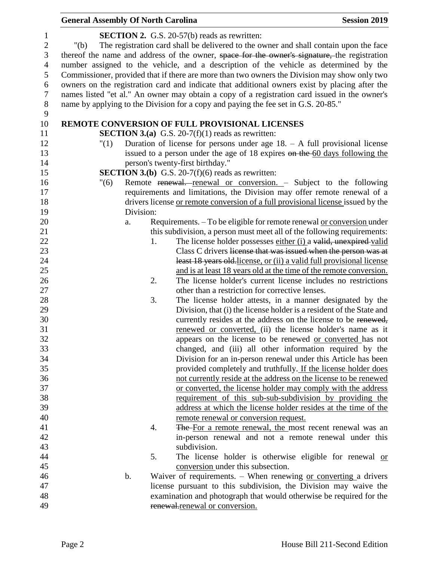| <b>General Assembly Of North Carolina</b> |               |    |                                                                                                | <b>Session 2019</b>                                                  |
|-------------------------------------------|---------------|----|------------------------------------------------------------------------------------------------|----------------------------------------------------------------------|
|                                           |               |    | <b>SECTION 2.</b> G.S. 20-57(b) reads as rewritten:                                            |                                                                      |
| " $(b)$                                   |               |    | The registration card shall be delivered to the owner and shall contain upon the face          |                                                                      |
|                                           |               |    | thereof the name and address of the owner, space for the owner's signature, the registration   |                                                                      |
|                                           |               |    | number assigned to the vehicle, and a description of the vehicle as determined by the          |                                                                      |
|                                           |               |    | Commissioner, provided that if there are more than two owners the Division may show only two   |                                                                      |
|                                           |               |    | owners on the registration card and indicate that additional owners exist by placing after the |                                                                      |
|                                           |               |    | names listed "et al." An owner may obtain a copy of a registration card issued in the owner's  |                                                                      |
|                                           |               |    | name by applying to the Division for a copy and paying the fee set in G.S. 20-85."             |                                                                      |
|                                           |               |    |                                                                                                |                                                                      |
|                                           |               |    | REMOTE CONVERSION OF FULL PROVISIONAL LICENSES                                                 |                                                                      |
|                                           |               |    | <b>SECTION 3.(a)</b> G.S. 20-7(f)(1) reads as rewritten:                                       |                                                                      |
| "(1)                                      |               |    | Duration of license for persons under age $18. - A$ full provisional license                   |                                                                      |
|                                           |               |    | issued to a person under the age of 18 expires on the 60 days following the                    |                                                                      |
|                                           |               |    | person's twenty-first birthday."                                                               |                                                                      |
|                                           |               |    | <b>SECTION 3.(b)</b> G.S. 20-7(f)(6) reads as rewritten:                                       |                                                                      |
| "(6)                                      |               |    | Remote renewal. renewal or conversion. - Subject to the following                              |                                                                      |
|                                           |               |    | requirements and limitations, the Division may offer remote renewal of a                       |                                                                      |
|                                           |               |    | drivers license or remote conversion of a full provisional license issued by the               |                                                                      |
|                                           | Division:     |    |                                                                                                |                                                                      |
|                                           | a.            |    | Requirements. – To be eligible for remote renewal <u>or conversion</u> under                   |                                                                      |
|                                           |               |    | this subdivision, a person must meet all of the following requirements:                        |                                                                      |
|                                           |               | 1. |                                                                                                | The license holder possesses either (i) a valid, unexpired-valid     |
|                                           |               |    |                                                                                                | Class C drivers license that was issued when the person was at       |
|                                           |               |    |                                                                                                | least 18 years old-license, or (ii) a valid full provisional license |
|                                           |               |    |                                                                                                | and is at least 18 years old at the time of the remote conversion.   |
|                                           |               | 2. |                                                                                                | The license holder's current license includes no restrictions        |
|                                           |               |    | other than a restriction for corrective lenses.                                                |                                                                      |
|                                           |               | 3. |                                                                                                | The license holder attests, in a manner designated by the            |
|                                           |               |    |                                                                                                | Division, that (i) the license holder is a resident of the State and |
|                                           |               |    |                                                                                                | currently resides at the address on the license to be renewed,       |
|                                           |               |    |                                                                                                | renewed or converted, (ii) the license holder's name as it           |
|                                           |               |    |                                                                                                | appears on the license to be renewed or converted has not            |
|                                           |               |    |                                                                                                | changed, and (iii) all other information required by the             |
|                                           |               |    |                                                                                                | Division for an in-person renewal under this Article has been        |
|                                           |               |    |                                                                                                | provided completely and truthfully. If the license holder does       |
|                                           |               |    |                                                                                                | not currently reside at the address on the license to be renewed     |
|                                           |               |    |                                                                                                | or converted, the license holder may comply with the address         |
|                                           |               |    |                                                                                                | requirement of this sub-sub-subdivision by providing the             |
|                                           |               |    |                                                                                                | address at which the license holder resides at the time of the       |
|                                           |               |    | remote renewal or conversion request.                                                          |                                                                      |
|                                           |               | 4. |                                                                                                | The For a remote renewal, the most recent renewal was an             |
|                                           |               |    |                                                                                                | in-person renewal and not a remote renewal under this                |
|                                           |               |    | subdivision.                                                                                   |                                                                      |
|                                           |               | 5. |                                                                                                | The license holder is otherwise eligible for renewal or              |
|                                           |               |    | conversion under this subsection.                                                              |                                                                      |
|                                           | $\mathbf b$ . |    | Waiver of requirements. $-$ When renewing <u>or converting</u> a drivers                       |                                                                      |
|                                           |               |    | license pursuant to this subdivision, the Division may waive the                               |                                                                      |
|                                           |               |    | examination and photograph that would otherwise be required for the                            |                                                                      |
|                                           |               |    | renewal.renewal or conversion.                                                                 |                                                                      |